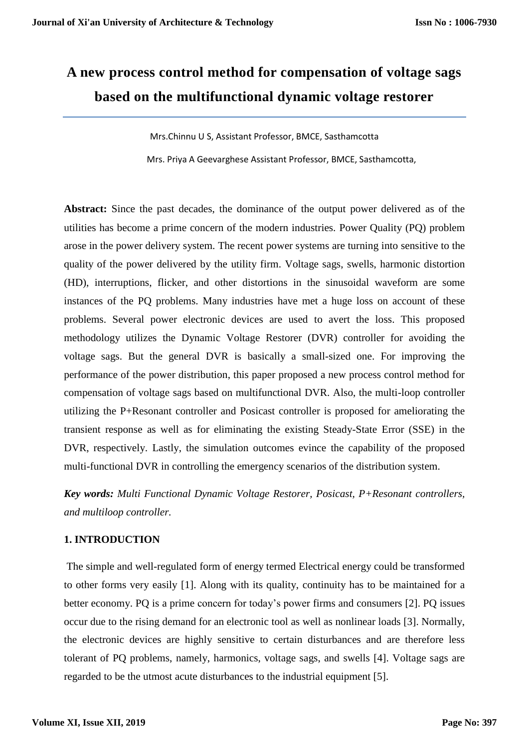# **A new process control method for compensation of voltage sags based on the multifunctional dynamic voltage restorer**

Mrs.Chinnu U S, Assistant Professor, BMCE, Sasthamcotta Mrs. Priya A Geevarghese Assistant Professor, BMCE, Sasthamcotta,

**Abstract:** Since the past decades, the dominance of the output power delivered as of the utilities has become a prime concern of the modern industries. Power Quality (PQ) problem arose in the power delivery system. The recent power systems are turning into sensitive to the quality of the power delivered by the utility firm. Voltage sags, swells, harmonic distortion (HD), interruptions, flicker, and other distortions in the sinusoidal waveform are some instances of the PQ problems. Many industries have met a huge loss on account of these problems. Several power electronic devices are used to avert the loss. This proposed methodology utilizes the Dynamic Voltage Restorer (DVR) controller for avoiding the voltage sags. But the general DVR is basically a small-sized one. For improving the performance of the power distribution, this paper proposed a new process control method for compensation of voltage sags based on multifunctional DVR. Also, the multi-loop controller utilizing the P+Resonant controller and Posicast controller is proposed for ameliorating the transient response as well as for eliminating the existing Steady-State Error (SSE) in the DVR, respectively. Lastly, the simulation outcomes evince the capability of the proposed multi-functional DVR in controlling the emergency scenarios of the distribution system.

*Key words: Multi Functional Dynamic Voltage Restorer, Posicast, P+Resonant controllers, and multiloop controller.*

## **1. INTRODUCTION**

The simple and well-regulated form of energy termed Electrical energy could be transformed to other forms very easily [1]. Along with its quality, continuity has to be maintained for a better economy. PQ is a prime concern for today's power firms and consumers [2]. PQ issues occur due to the rising demand for an electronic tool as well as nonlinear loads [3]. Normally, the electronic devices are highly sensitive to certain disturbances and are therefore less tolerant of PQ problems, namely, harmonics, voltage sags, and swells [4]. Voltage sags are regarded to be the utmost acute disturbances to the industrial equipment [5].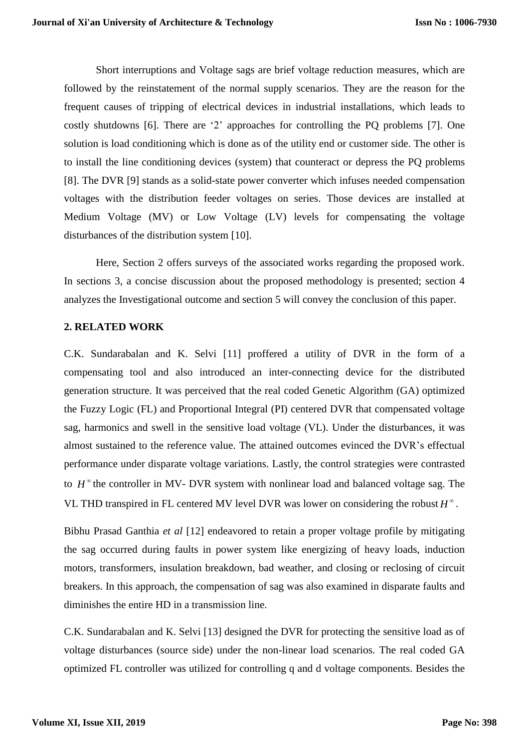Short interruptions and Voltage sags are brief voltage reduction measures, which are followed by the reinstatement of the normal supply scenarios. They are the reason for the frequent causes of tripping of electrical devices in industrial installations, which leads to costly shutdowns [6]. There are '2' approaches for controlling the PQ problems [7]. One solution is load conditioning which is done as of the utility end or customer side. The other is to install the line conditioning devices (system) that counteract or depress the PQ problems [8]. The DVR [9] stands as a solid-state power converter which infuses needed compensation voltages with the distribution feeder voltages on series. Those devices are installed at Medium Voltage (MV) or Low Voltage (LV) levels for compensating the voltage disturbances of the distribution system [10].

Here, Section 2 offers surveys of the associated works regarding the proposed work. In sections 3, a concise discussion about the proposed methodology is presented; section 4 analyzes the Investigational outcome and section 5 will convey the conclusion of this paper.

## **2. RELATED WORK**

C.K. Sundarabalan and K. Selvi [11] proffered a utility of DVR in the form of a compensating tool and also introduced an inter-connecting device for the distributed generation structure. It was perceived that the real coded Genetic Algorithm (GA) optimized the Fuzzy Logic (FL) and Proportional Integral (PI) centered DVR that compensated voltage sag, harmonics and swell in the sensitive load voltage (VL). Under the disturbances, it was almost sustained to the reference value. The attained outcomes evinced the DVR's effectual performance under disparate voltage variations. Lastly, the control strategies were contrasted to  $H^{\infty}$  the controller in MV- DVR system with nonlinear load and balanced voltage sag. The VL THD transpired in FL centered MV level DVR was lower on considering the robust  $H^{\infty}$ .

Bibhu Prasad Ganthia *et al* [12] endeavored to retain a proper voltage profile by mitigating the sag occurred during faults in power system like energizing of heavy loads, induction motors, transformers, insulation breakdown, bad weather, and closing or reclosing of circuit breakers. In this approach, the compensation of sag was also examined in disparate faults and diminishes the entire HD in a transmission line.

C.K. Sundarabalan and K. Selvi [13] designed the DVR for protecting the sensitive load as of voltage disturbances (source side) under the non-linear load scenarios. The real coded GA optimized FL controller was utilized for controlling q and d voltage components. Besides the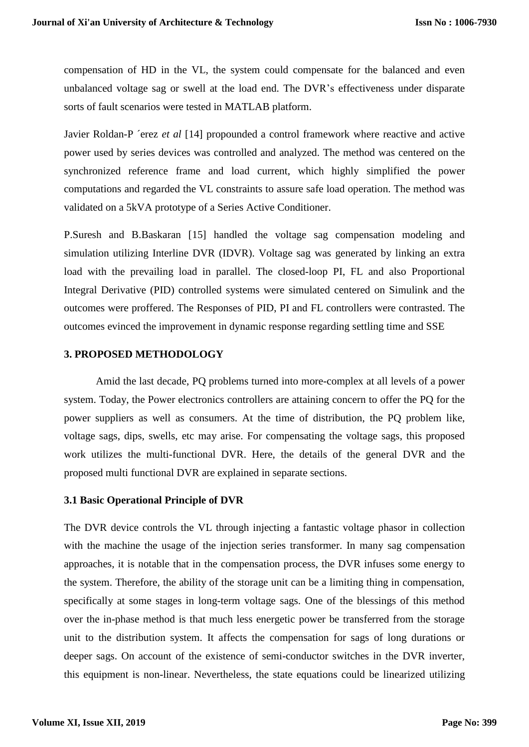compensation of HD in the VL, the system could compensate for the balanced and even unbalanced voltage sag or swell at the load end. The DVR's effectiveness under disparate sorts of fault scenarios were tested in MATLAB platform.

Javier Roldan-P ´erez *et al* [14] propounded a control framework where reactive and active power used by series devices was controlled and analyzed. The method was centered on the synchronized reference frame and load current, which highly simplified the power computations and regarded the VL constraints to assure safe load operation. The method was validated on a 5kVA prototype of a Series Active Conditioner.

P.Suresh and B.Baskaran [15] handled the voltage sag compensation modeling and simulation utilizing Interline DVR (IDVR). Voltage sag was generated by linking an extra load with the prevailing load in parallel. The closed-loop PI, FL and also Proportional Integral Derivative (PID) controlled systems were simulated centered on Simulink and the outcomes were proffered. The Responses of PID, PI and FL controllers were contrasted. The outcomes evinced the improvement in dynamic response regarding settling time and SSE

#### **3. PROPOSED METHODOLOGY**

Amid the last decade, PQ problems turned into more-complex at all levels of a power system. Today, the Power electronics controllers are attaining concern to offer the PQ for the power suppliers as well as consumers. At the time of distribution, the PQ problem like, voltage sags, dips, swells, etc may arise. For compensating the voltage sags, this proposed work utilizes the multi-functional DVR. Here, the details of the general DVR and the proposed multi functional DVR are explained in separate sections.

#### **3.1 Basic Operational Principle of DVR**

The DVR device controls the VL through injecting a fantastic voltage phasor in collection with the machine the usage of the injection series transformer. In many sag compensation approaches, it is notable that in the compensation process, the DVR infuses some energy to the system. Therefore, the ability of the storage unit can be a limiting thing in compensation, specifically at some stages in long-term voltage sags. One of the blessings of this method over the in-phase method is that much less energetic power be transferred from the storage unit to the distribution system. It affects the compensation for sags of long durations or deeper sags. On account of the existence of semi-conductor switches in the DVR inverter, this equipment is non-linear. Nevertheless, the state equations could be linearized utilizing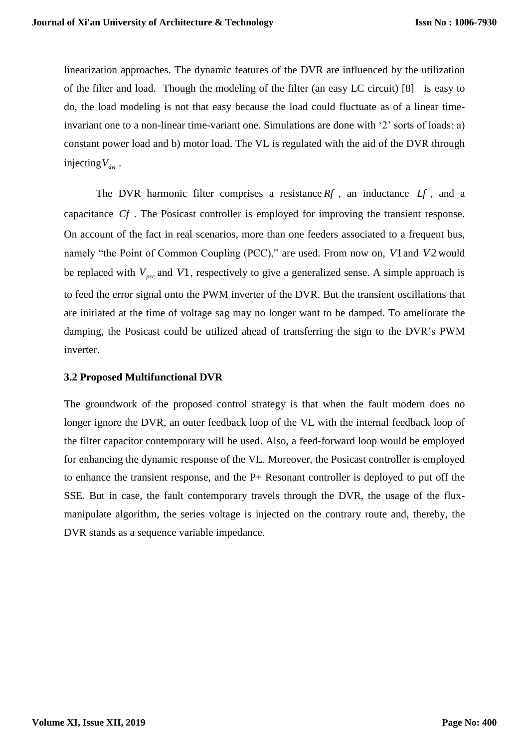linearization approaches. The dynamic features of the DVR are influenced by the utilization of the filter and load. Though the modeling of the filter (an easy LC circuit) [8] is easy to do, the load modeling is not that easy because the load could fluctuate as of a linear timeinvariant one to a non-linear time-variant one. Simulations are done with '2' sorts of loads: a) constant power load and b) motor load. The VL is regulated with the aid of the DVR through injecting  $V_{\text{dyr}}$ .

The DVR harmonic filter comprises a resistance  $Rf$ , an inductance  $Lf$ , and a capacitance *Cf* . The Posicast controller is employed for improving the transient response. On account of the fact in real scenarios, more than one feeders associated to a frequent bus, namely "the Point of Common Coupling (PCC)," are used. From now on, *V*1 and *V*2 would be replaced with  $V_{pcc}$  and  $V1$ , respectively to give a generalized sense. A simple approach is to feed the error signal onto the PWM inverter of the DVR. But the transient oscillations that are initiated at the time of voltage sag may no longer want to be damped. To ameliorate the damping, the Posicast could be utilized ahead of transferring the sign to the DVR's PWM inverter.

#### **3.2 Proposed Multifunctional DVR**

The groundwork of the proposed control strategy is that when the fault modern does no longer ignore the DVR, an outer feedback loop of the VL with the internal feedback loop of the filter capacitor contemporary will be used. Also, a feed-forward loop would be employed for enhancing the dynamic response of the VL. Moreover, the Posicast controller is employed to enhance the transient response, and the P+ Resonant controller is deployed to put off the SSE. But in case, the fault contemporary travels through the DVR, the usage of the fluxmanipulate algorithm, the series voltage is injected on the contrary route and, thereby, the DVR stands as a sequence variable impedance.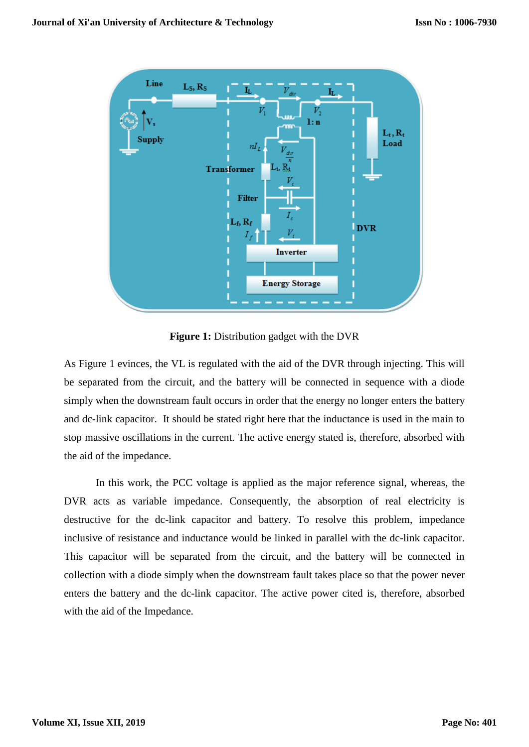

**Figure 1:** Distribution gadget with the DVR

As Figure 1 evinces, the VL is regulated with the aid of the DVR through injecting. This will be separated from the circuit, and the battery will be connected in sequence with a diode simply when the downstream fault occurs in order that the energy no longer enters the battery and dc-link capacitor. It should be stated right here that the inductance is used in the main to stop massive oscillations in the current. The active energy stated is, therefore, absorbed with the aid of the impedance.

In this work, the PCC voltage is applied as the major reference signal, whereas, the DVR acts as variable impedance. Consequently, the absorption of real electricity is destructive for the dc-link capacitor and battery. To resolve this problem, impedance inclusive of resistance and inductance would be linked in parallel with the dc-link capacitor. This capacitor will be separated from the circuit, and the battery will be connected in collection with a diode simply when the downstream fault takes place so that the power never enters the battery and the dc-link capacitor. The active power cited is, therefore, absorbed with the aid of the Impedance.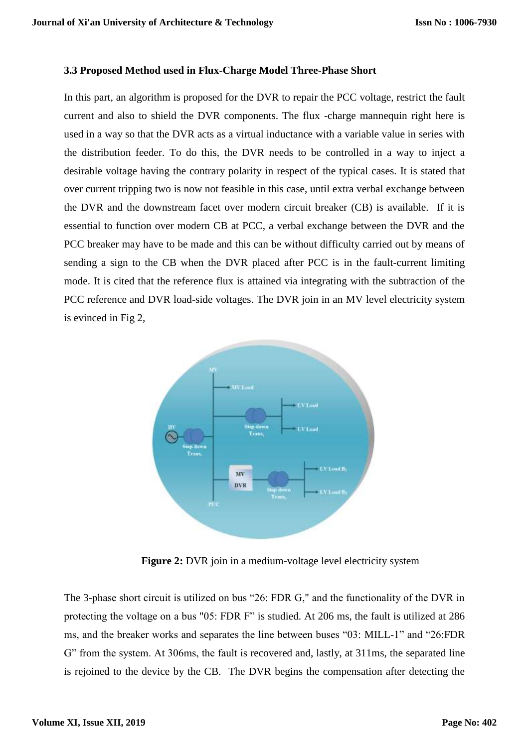#### **3.3 Proposed Method used in Flux-Charge Model Three-Phase Short**

In this part, an algorithm is proposed for the DVR to repair the PCC voltage, restrict the fault current and also to shield the DVR components. The flux -charge mannequin right here is used in a way so that the DVR acts as a virtual inductance with a variable value in series with the distribution feeder. To do this, the DVR needs to be controlled in a way to inject a desirable voltage having the contrary polarity in respect of the typical cases. It is stated that over current tripping two is now not feasible in this case, until extra verbal exchange between the DVR and the downstream facet over modern circuit breaker (CB) is available. If it is essential to function over modern CB at PCC, a verbal exchange between the DVR and the PCC breaker may have to be made and this can be without difficulty carried out by means of sending a sign to the CB when the DVR placed after PCC is in the fault-current limiting mode. It is cited that the reference flux is attained via integrating with the subtraction of the PCC reference and DVR load-side voltages. The DVR join in an MV level electricity system is evinced in Fig 2,



**Figure 2:** DVR join in a medium-voltage level electricity system

The 3-phase short circuit is utilized on bus "26: FDR G," and the functionality of the DVR in protecting the voltage on a bus "05: FDR F" is studied. At 206 ms, the fault is utilized at 286 ms, and the breaker works and separates the line between buses "03: MILL-1" and "26:FDR G" from the system. At 306ms, the fault is recovered and, lastly, at 311ms, the separated line is rejoined to the device by the CB. The DVR begins the compensation after detecting the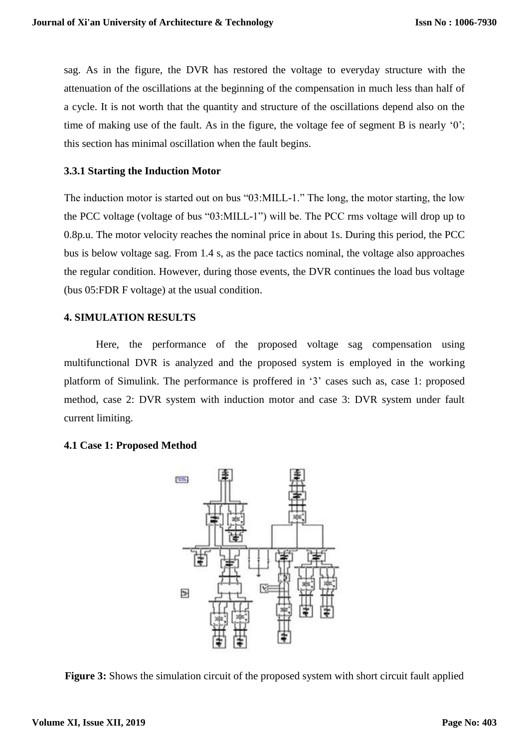sag. As in the figure, the DVR has restored the voltage to everyday structure with the attenuation of the oscillations at the beginning of the compensation in much less than half of a cycle. It is not worth that the quantity and structure of the oscillations depend also on the time of making use of the fault. As in the figure, the voltage fee of segment B is nearly '0'; this section has minimal oscillation when the fault begins.

## **3.3.1 Starting the Induction Motor**

The induction motor is started out on bus "03:MILL-1." The long, the motor starting, the low the PCC voltage (voltage of bus "03:MILL-1") will be. The PCC rms voltage will drop up to 0.8p.u. The motor velocity reaches the nominal price in about 1s. During this period, the PCC bus is below voltage sag. From 1.4 s, as the pace tactics nominal, the voltage also approaches the regular condition. However, during those events, the DVR continues the load bus voltage (bus 05:FDR F voltage) at the usual condition.

## **4. SIMULATION RESULTS**

Here, the performance of the proposed voltage sag compensation using multifunctional DVR is analyzed and the proposed system is employed in the working platform of Simulink. The performance is proffered in '3' cases such as, case 1: proposed method, case 2: DVR system with induction motor and case 3: DVR system under fault current limiting.

# **4.1 Case 1: Proposed Method**



**Figure 3:** Shows the simulation circuit of the proposed system with short circuit fault applied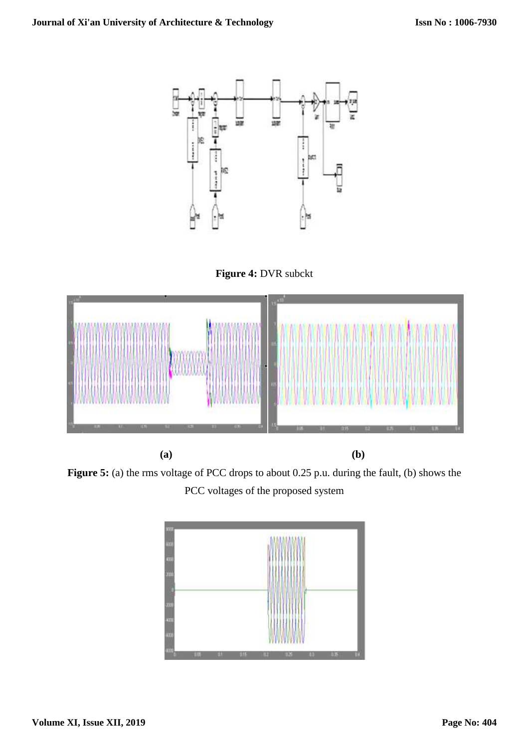





**Figure 5:** (a) the rms voltage of PCC drops to about 0.25 p.u. during the fault, (b) shows the PCC voltages of the proposed system

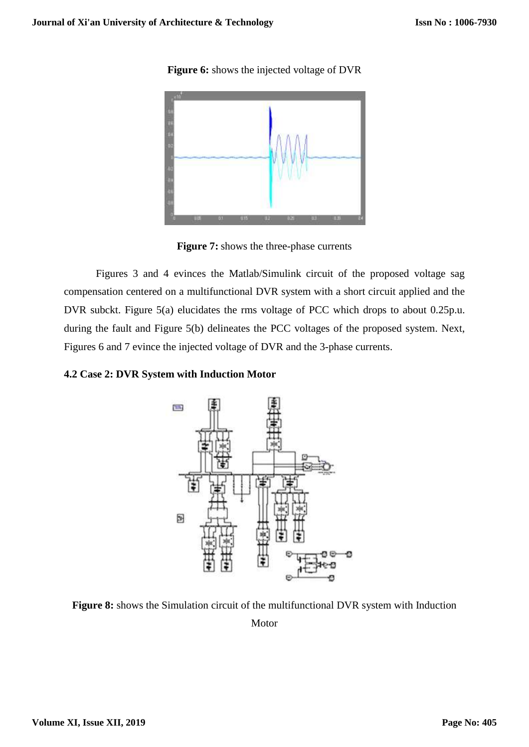**Figure 6:** shows the injected voltage of DVR



**Figure 7:** shows the three-phase currents

Figures 3 and 4 evinces the Matlab/Simulink circuit of the proposed voltage sag compensation centered on a multifunctional DVR system with a short circuit applied and the DVR subckt. Figure 5(a) elucidates the rms voltage of PCC which drops to about 0.25p.u. during the fault and Figure 5(b) delineates the PCC voltages of the proposed system. Next, Figures 6 and 7 evince the injected voltage of DVR and the 3-phase currents.

### **4.2 Case 2: DVR System with Induction Motor**



**Figure 8:** shows the Simulation circuit of the multifunctional DVR system with Induction Motor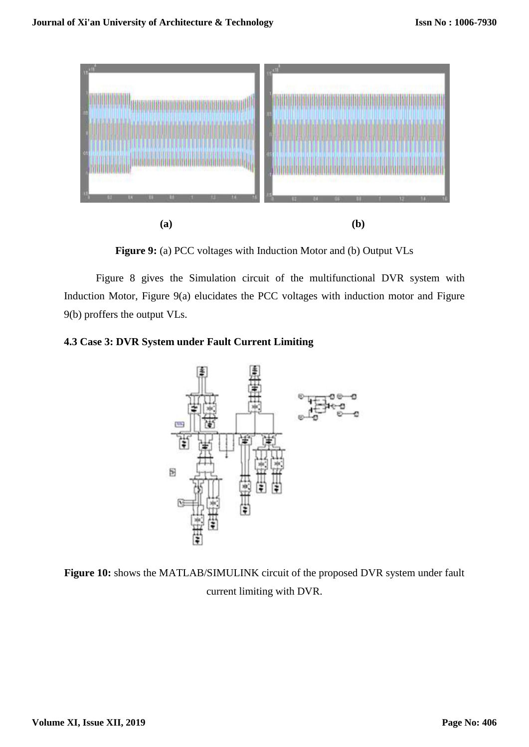

**Figure 9:** (a) PCC voltages with Induction Motor and (b) Output VLs

Figure 8 gives the Simulation circuit of the multifunctional DVR system with Induction Motor, Figure 9(a) elucidates the PCC voltages with induction motor and Figure 9(b) proffers the output VLs.

# **4.3 Case 3: DVR System under Fault Current Limiting**



**Figure 10:** shows the MATLAB/SIMULINK circuit of the proposed DVR system under fault current limiting with DVR.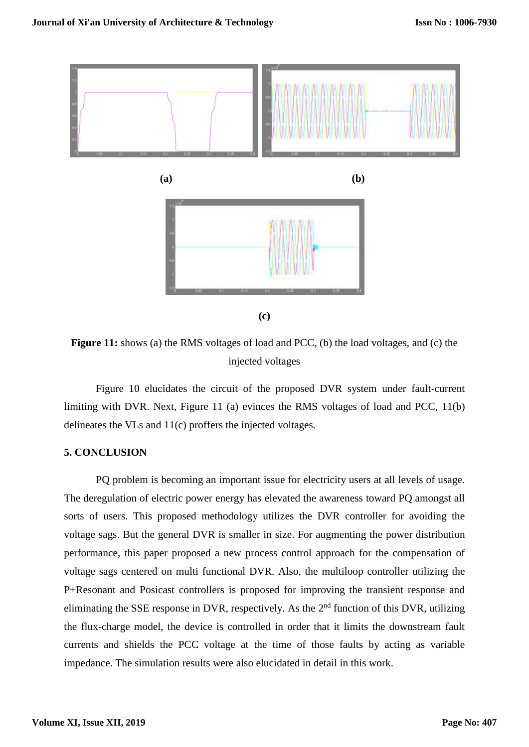

**(c)**

**Figure 11:** shows (a) the RMS voltages of load and PCC, (b) the load voltages, and (c) the injected voltages

Figure 10 elucidates the circuit of the proposed DVR system under fault-current limiting with DVR. Next, Figure 11 (a) evinces the RMS voltages of load and PCC, 11(b) delineates the VLs and 11(c) proffers the injected voltages.

### **5. CONCLUSION**

PQ problem is becoming an important issue for electricity users at all levels of usage. The deregulation of electric power energy has elevated the awareness toward PQ amongst all sorts of users. This proposed methodology utilizes the DVR controller for avoiding the voltage sags. But the general DVR is smaller in size. For augmenting the power distribution performance, this paper proposed a new process control approach for the compensation of voltage sags centered on multi functional DVR. Also, the multiloop controller utilizing the P+Resonant and Posicast controllers is proposed for improving the transient response and eliminating the SSE response in DVR, respectively. As the  $2<sup>nd</sup>$  function of this DVR, utilizing the flux-charge model, the device is controlled in order that it limits the downstream fault currents and shields the PCC voltage at the time of those faults by acting as variable impedance. The simulation results were also elucidated in detail in this work.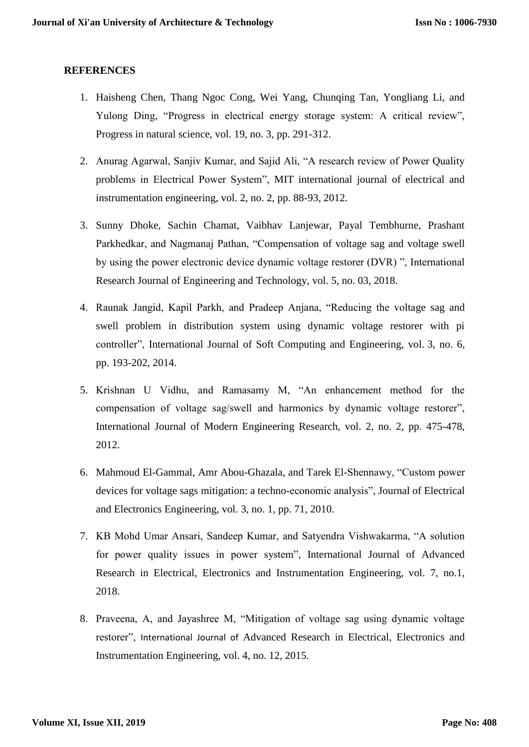## **REFERENCES**

- 1. Haisheng Chen, Thang Ngoc Cong, Wei Yang, Chunqing Tan, Yongliang Li, and Yulong Ding, "Progress in electrical energy storage system: A critical review", Progress in natural science, vol. 19, no. 3, pp. 291-312.
- 2. Anurag Agarwal, Sanjiv Kumar, and Sajid Ali, "A research review of Power Quality problems in Electrical Power System", MIT international journal of electrical and instrumentation engineering, vol. 2, no. 2, pp. 88-93, 2012.
- 3. Sunny Dhoke, Sachin Chamat, Vaibhav Lanjewar, Payal Tembhurne, Prashant Parkhedkar, and Nagmanaj Pathan, "Compensation of voltage sag and voltage swell by using the power electronic device dynamic voltage restorer (DVR) ", International Research Journal of Engineering and Technology, vol. 5, no. 03, 2018.
- 4. Raunak Jangid, Kapil Parkh, and Pradeep Anjana, "Reducing the voltage sag and swell problem in distribution system using dynamic voltage restorer with pi controller", International Journal of Soft Computing and Engineering, vol. 3, no. 6, pp. 193-202, 2014.
- 5. Krishnan U Vidhu, and Ramasamy M, "An enhancement method for the compensation of voltage sag/swell and harmonics by dynamic voltage restorer", International Journal of Modern Engineering Research, vol. 2, no. 2, pp. 475-478, 2012.
- 6. Mahmoud El-Gammal, Amr Abou-Ghazala, and Tarek El-Shennawy, "Custom power devices for voltage sags mitigation: a techno-economic analysis", Journal of Electrical and Electronics Engineering, vol. 3, no. 1, pp. 71, 2010.
- 7. KB Mohd Umar Ansari, Sandeep Kumar, and Satyendra Vishwakarma, "A solution for power quality issues in power system", International Journal of Advanced Research in Electrical, Electronics and Instrumentation Engineering, vol. 7, no.1, 2018.
- 8. Praveena, A, and Jayashree M, "Mitigation of voltage sag using dynamic voltage restorer", International Journal of Advanced Research in Electrical, Electronics and Instrumentation Engineering, vol. 4, no. 12, 2015.